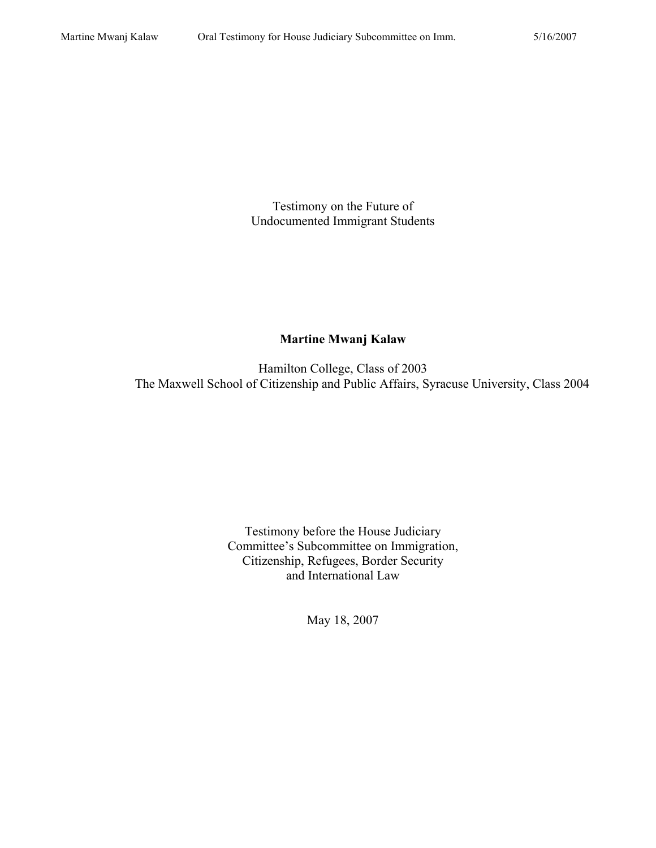Testimony on the Future of Undocumented Immigrant Students

## **Martine Mwanj Kalaw**

Hamilton College, Class of 2003 The Maxwell School of Citizenship and Public Affairs, Syracuse University, Class 2004

> Testimony before the House Judiciary Committee's Subcommittee on Immigration, Citizenship, Refugees, Border Security and International Law

> > May 18, 2007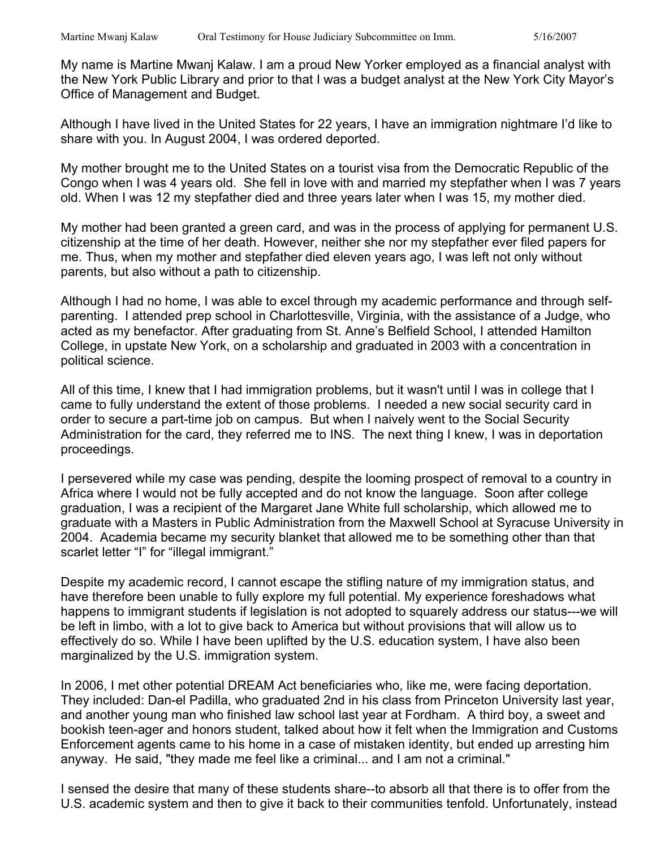My name is Martine Mwanj Kalaw. I am a proud New Yorker employed as a financial analyst with the New York Public Library and prior to that I was a budget analyst at the New York City Mayor's Office of Management and Budget.

Although I have lived in the United States for 22 years, I have an immigration nightmare I'd like to share with you. In August 2004, I was ordered deported.

My mother brought me to the United States on a tourist visa from the Democratic Republic of the Congo when I was 4 years old. She fell in love with and married my stepfather when I was 7 years old. When I was 12 my stepfather died and three years later when I was 15, my mother died.

My mother had been granted a green card, and was in the process of applying for permanent U.S. citizenship at the time of her death. However, neither she nor my stepfather ever filed papers for me. Thus, when my mother and stepfather died eleven years ago, I was left not only without parents, but also without a path to citizenship.

Although I had no home, I was able to excel through my academic performance and through selfparenting. I attended prep school in Charlottesville, Virginia, with the assistance of a Judge, who acted as my benefactor. After graduating from St. Anne's Belfield School, I attended Hamilton College, in upstate New York, on a scholarship and graduated in 2003 with a concentration in political science.

All of this time, I knew that I had immigration problems, but it wasn't until I was in college that I came to fully understand the extent of those problems. I needed a new social security card in order to secure a part-time job on campus. But when I naively went to the Social Security Administration for the card, they referred me to INS. The next thing I knew, I was in deportation proceedings.

I persevered while my case was pending, despite the looming prospect of removal to a country in Africa where I would not be fully accepted and do not know the language. Soon after college graduation, I was a recipient of the Margaret Jane White full scholarship, which allowed me to graduate with a Masters in Public Administration from the Maxwell School at Syracuse University in 2004. Academia became my security blanket that allowed me to be something other than that scarlet letter "I" for "illegal immigrant."

Despite my academic record, I cannot escape the stifling nature of my immigration status, and have therefore been unable to fully explore my full potential. My experience foreshadows what happens to immigrant students if legislation is not adopted to squarely address our status---we will be left in limbo, with a lot to give back to America but without provisions that will allow us to effectively do so. While I have been uplifted by the U.S. education system, I have also been marginalized by the U.S. immigration system.

In 2006, I met other potential DREAM Act beneficiaries who, like me, were facing deportation. They included: Dan-el Padilla, who graduated 2nd in his class from Princeton University last year, and another young man who finished law school last year at Fordham. A third boy, a sweet and bookish teen-ager and honors student, talked about how it felt when the Immigration and Customs Enforcement agents came to his home in a case of mistaken identity, but ended up arresting him anyway. He said, "they made me feel like a criminal... and I am not a criminal."

I sensed the desire that many of these students share--to absorb all that there is to offer from the U.S. academic system and then to give it back to their communities tenfold. Unfortunately, instead